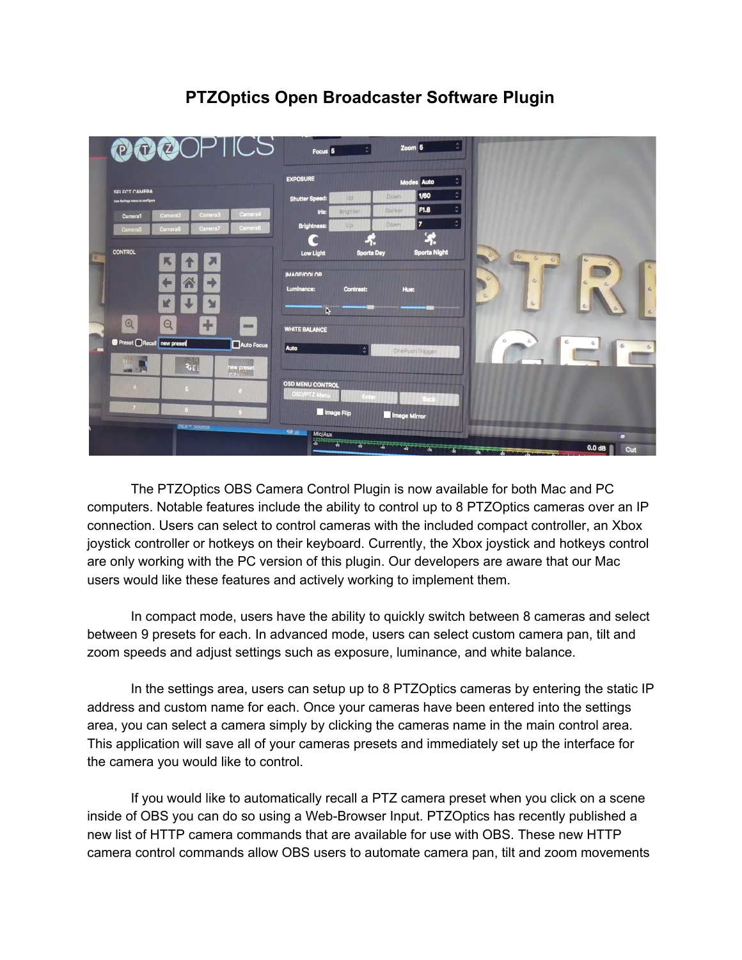## **PTZOptics Open Broadcaster Software Plugin**

|   | PUPOPIICS                                                                    | Focus <sub>5</sub>                             | $\hat{\mathbb{Q}}$ | Zoom <sub>5</sub> | $\hat{\cdot}$                                    |              |                              |
|---|------------------------------------------------------------------------------|------------------------------------------------|--------------------|-------------------|--------------------------------------------------|--------------|------------------------------|
|   |                                                                              | <b>EXPOSURE</b>                                |                    |                   | $\hat{\mathbf{v}}$<br><b>Modes Auto</b>          |              |                              |
|   | <b>SELECT CAMERA</b><br>Use Settings menu to configure                       | <b>Shutter Speed:</b>                          | Up                 | Down              | $\hat{\mathbf{v}}$<br>1/60                       |              |                              |
|   | Camera <sup>4</sup><br>Camera <sub>3</sub><br>Camera <sub>2</sub><br>Camera1 | Iris:                                          | Brighter           | Darker            | $\hat{\cdot}$<br>F1.8                            |              |                              |
|   | Camera <sub>8</sub><br>Camera7<br><b>Camera6</b><br>Camera5                  | <b>Brightness:</b>                             | Up                 | Down              | $\hat{\mathbf{c}}$<br>17<br>$\Phi_{\mathcal{C}}$ |              |                              |
|   | <b>CONTROL</b><br>网                                                          | <b>Low Light</b>                               | <b>Sports Day</b>  |                   | 46<br><b>Sports Night</b>                        | $\sigma$     |                              |
|   | $\leftarrow$<br>Λ<br>mb                                                      | <b>IMAGE/COLOR</b><br>Luminance:               | <b>Contrast:</b>   | Hue:              |                                                  | $\mathbb{C}$ | $\epsilon$<br>$\mathfrak{S}$ |
|   | K<br>M                                                                       | h,                                             |                    |                   |                                                  | $\omega$     | c                            |
|   | $^{\circledR}$<br>$\Theta$<br>$\oplus$<br><b>STORY</b>                       | <b>WHITE BALANCE</b>                           |                    |                   |                                                  |              |                              |
| ш | Preset ORecall new preset<br>Auto Focus                                      | Auto                                           | $\hat{\cdot}$      |                   | OnePushTrigger                                   | £.           | c<br>G                       |
|   | $\overline{\mathbf{t}}$<br>55771<br>new preset<br><b>MARKET 3 P</b>          |                                                |                    |                   |                                                  |              |                              |
|   |                                                                              | <b>OSD MENU CONTROL</b><br><b>OSD/PTZ Ment</b> | Enter              |                   |                                                  |              |                              |
|   | $\theta$                                                                     | Image Flip                                     |                    | Image Mirror      |                                                  |              |                              |
|   | NUI' <sup>H</sup> SOUICE                                                     | $O$ ii.<br>Mic/Aux                             |                    |                   |                                                  |              | о                            |
|   |                                                                              |                                                |                    |                   |                                                  |              | 0.0 <sub>dB</sub><br>Cut     |

The PTZOptics OBS Camera Control Plugin is now available for both Mac and PC computers. Notable features include the ability to control up to 8 PTZOptics cameras over an IP connection. Users can select to control cameras with the included compact controller, an Xbox joystick controller or hotkeys on their keyboard. Currently, the Xbox joystick and hotkeys control are only working with the PC version of this plugin. Our developers are aware that our Mac users would like these features and actively working to implement them.

In compact mode, users have the ability to quickly switch between 8 cameras and select between 9 presets for each. In advanced mode, users can select custom camera pan, tilt and zoom speeds and adjust settings such as exposure, luminance, and white balance.

In the settings area, users can setup up to 8 PTZOptics cameras by entering the static IP address and custom name for each. Once your cameras have been entered into the settings area, you can select a camera simply by clicking the cameras name in the main control area. This application will save all of your cameras presets and immediately set up the interface for the camera you would like to control.

If you would like to automatically recall a PTZ camera preset when you click on a scene inside of OBS you can do so using a Web-Browser Input. PTZOptics has recently published a new list of HTTP camera commands that are available for use with OBS. These new HTTP camera control commands allow OBS users to automate camera pan, tilt and zoom movements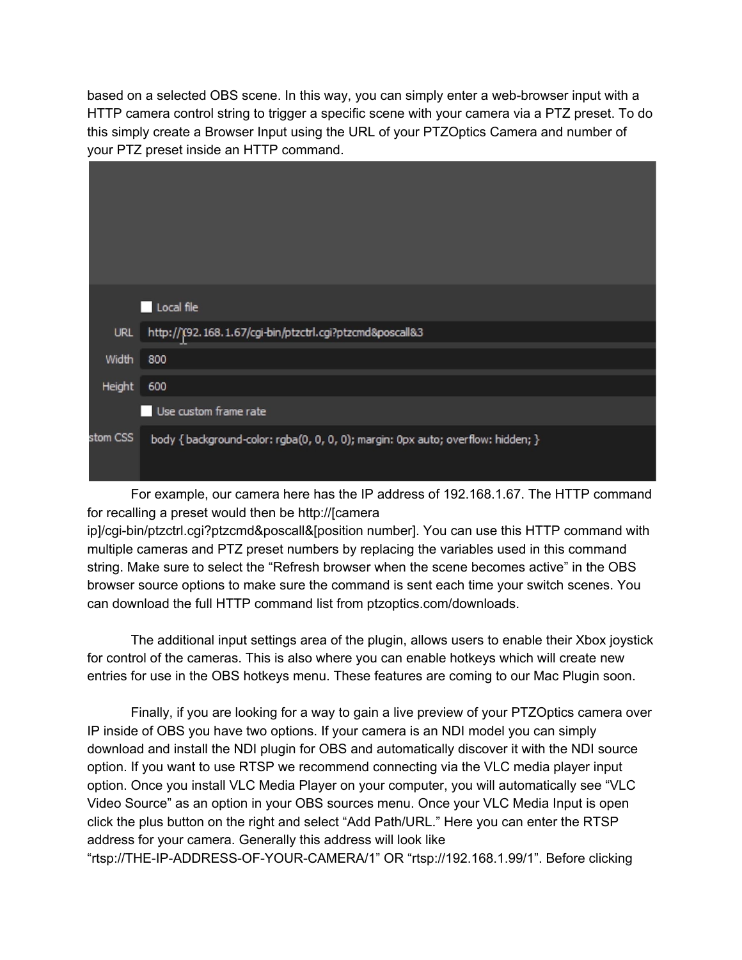based on a selected OBS scene. In this way, you can simply enter a web-browser input with a HTTP camera control string to trigger a specific scene with your camera via a PTZ preset. To do this simply create a Browser Input using the URL of your PTZOptics Camera and number of your PTZ preset inside an HTTP command.

|          | Local file                                                                       |
|----------|----------------------------------------------------------------------------------|
| URL      | http://(92.168.1.67/cgi-bin/ptzctrl.cgi?ptzcmd&poscall&3                         |
| Width    | 800                                                                              |
| Height   | 600                                                                              |
|          | Use custom frame rate                                                            |
| stom CSS | body { background-color: rgba(0, 0, 0, 0); margin: 0px auto; overflow: hidden; } |

For example, our camera here has the IP address of 192.168.1.67. The HTTP command for recalling a preset would then be http://[camera

ip]/cgi-bin/ptzctrl.cgi?ptzcmd&poscall&[position number]. You can use this HTTP command with multiple cameras and PTZ preset numbers by replacing the variables used in this command string. Make sure to select the "Refresh browser when the scene becomes active" in the OBS browser source options to make sure the command is sent each time your switch scenes. You can download the full HTTP command list from ptzoptics.com/downloads.

The additional input settings area of the plugin, allows users to enable their Xbox joystick for control of the cameras. This is also where you can enable hotkeys which will create new entries for use in the OBS hotkeys menu. These features are coming to our Mac Plugin soon.

Finally, if you are looking for a way to gain a live preview of your PTZOptics camera over IP inside of OBS you have two options. If your camera is an NDI model you can simply download and install the NDI plugin for OBS and automatically discover it with the NDI source option. If you want to use RTSP we recommend connecting via the VLC media player input option. Once you install VLC Media Player on your computer, you will automatically see "VLC Video Source" as an option in your OBS sources menu. Once your VLC Media Input is open click the plus button on the right and select "Add Path/URL." Here you can enter the RTSP address for your camera. Generally this address will look like

"rtsp://THE-IP-ADDRESS-OF-YOUR-CAMERA/1" OR "rtsp://192.168.1.99/1". Before clicking